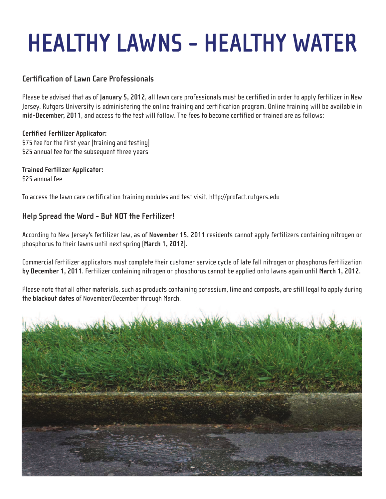# **HEALTHY LAWNS - HEALTHY WATER**

## **Certification of Lawn Care Professionals**

Please be advised that as of **January 5, 2012**, all lawn care professionals must be certified in order to apply fertilizer in New Jersey. Rutgers University is administering the online training and certification program. Online training will be available in **mid-December, 2011**, and access to the test will follow. The fees to become certified or trained are as follows:

#### **Certified Fertilizer Applicator:**

\$75 fee for the first year (training and testing) \$25 annual fee for the subsequent three years

# **Trained Fertilizer Applicator:**

\$25 annual fee

To access the lawn care certification training modules and test visit, http://profact.rutgers.edu

### **Help Spread the Word - But NOT the Fertilizer!**

According to New Jersey's fertilizer law, as of **November 15, 2011** residents cannot apply fertilizers containing nitrogen or phosphorus to their lawns until next spring (**March 1, 2012**).

Commercial fertilizer applicators must complete their customer service cycle of late fall nitrogen or phosphorus fertilization **by December 1, 2011**. Fertilizer containing nitrogen or phosphorus cannot be applied onto lawns again until **March 1, 2012**.

Please note that all other materials, such as products containing potassium, lime and composts, are still legal to apply during the **blackout dates** of November/December through March.